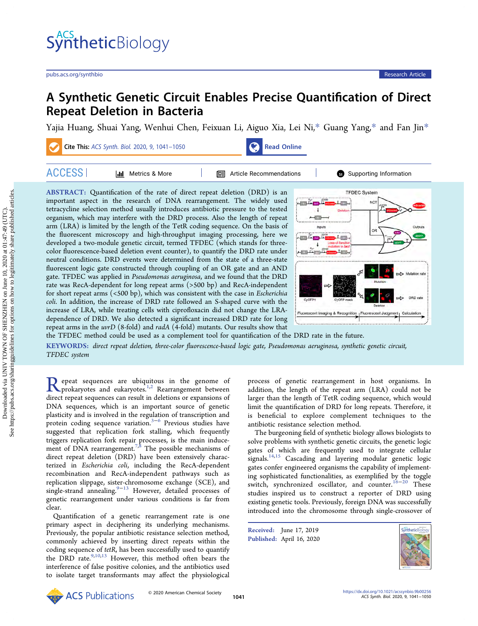# A Synthetic Genetic Circuit Enables Precise Quantification of Direct Repeat Deletion in Bacteria

[Yajia Huang,](https://pubs.acs.org/action/doSearch?field1=Contrib&text1="Yajia+Huang"&field2=AllField&text2=&publication=&accessType=allContent&Earliest=&ref=pdf) [Shuai Yang,](https://pubs.acs.org/action/doSearch?field1=Contrib&text1="Shuai+Yang"&field2=AllField&text2=&publication=&accessType=allContent&Earliest=&ref=pdf) [Wenhui Chen,](https://pubs.acs.org/action/doSearch?field1=Contrib&text1="Wenhui+Chen"&field2=AllField&text2=&publication=&accessType=allContent&Earliest=&ref=pdf) [Feixuan Li,](https://pubs.acs.org/action/doSearch?field1=Contrib&text1="Feixuan+Li"&field2=AllField&text2=&publication=&accessType=allContent&Earliest=&ref=pdf) [Aiguo Xia,](https://pubs.acs.org/action/doSearch?field1=Contrib&text1="Aiguo+Xia"&field2=AllField&text2=&publication=&accessType=allContent&Earliest=&ref=pdf) [Lei Ni,](https://pubs.acs.org/action/doSearch?field1=Contrib&text1="Lei+Ni"&field2=AllField&text2=&publication=&accessType=allContent&Earliest=&ref=pdf)[\\*](#page-8-0) [Guang Yang,](https://pubs.acs.org/action/doSearch?field1=Contrib&text1="Guang+Yang"&field2=AllField&text2=&publication=&accessType=allContent&Earliest=&ref=pdf)[\\*](#page-7-0) [and Fan Jin](https://pubs.acs.org/action/doSearch?field1=Contrib&text1="Fan+Jin"&field2=AllField&text2=&publication=&accessType=allContent&Earliest=&ref=pdf)[\\*](#page-7-0)

|  | Cite This: ACS Synth. Biol. 2020, 9, 1041-1050 |
|--|------------------------------------------------|



| (dd.<br>Metrics & More | les i<br>` Article Recommendations | Supporting Information<br>GD. |
|------------------------|------------------------------------|-------------------------------|
|                        |                                    |                               |

ABSTRACT: Quantification of the rate of direct repeat deletion (DRD) is an important aspect in the research of DNA rearrangement. The widely used tetracycline selection method usually introduces antibiotic pressure to the tested organism, which may interfere with the DRD process. Also the length of repeat arm (LRA) is limited by the length of the TetR coding sequence. On the basis of the fluorescent microscopy and high-throughput imaging processing, here we developed a two-module genetic circuit, termed TFDEC (which stands for threecolor fluorescence-based deletion event counter), to quantify the DRD rate under neutral conditions. DRD events were determined from the state of a three-state fluorescent logic gate constructed through coupling of an OR gate and an AND gate. TFDEC was applied in Pseudomonas aeruginosa, and we found that the DRD rate was RecA-dependent for long repeat arms (>500 bp) and RecA-independent for short repeat arms (<500 bp), which was consistent with the case in Escherichia coli. In addition, the increase of DRD rate followed an S-shaped curve with the increase of LRA, while treating cells with ciprofloxacin did not change the LRAdependence of DRD. We also detected a significant increased DRD rate for long repeat arms in the *uvrD* (8-fold) and *radA* (4-fold) mutants. Our results show that



the TFDEC method could be used as a complement tool for quantification of the DRD rate in the future.

KEYWORDS: direct repeat deletion, three-color fluorescence-based logic gate, Pseudomonas aeruginosa, synthetic genetic circuit, TFDEC system

Repeat sequences are ubiq[uit](#page-8-0)ous in the genome of<br>prokaryotes and eukaryotes.<sup>1,2</sup> Rearrangement between<br>direct repeat sequences can result in delations or expansions of direct repeat sequences can result in deletions or expansions of DNA sequences, which is an important source of genetic plasticity and is involved in the regulation of transcription and protein coding sequence variation.<sup>[3](#page-8-0)−[6](#page-8-0)</sup> Previous studies have suggested that replication fork stalling, which frequently triggers replication fork repair processes, is the main induce-ment of DNA rearrangement.<sup>[7](#page-8-0),[8](#page-8-0)</sup> The possible mechanisms of direct repeat deletion (DRD) have been extensively characterized in Escherichia coli, including the RecA-dependent recombination and RecA-independent pathways such as replication slippage, sister-chromosome exchange (SCE), and single-strand annealing.<sup>[9](#page-8-0)-[13](#page-8-0)</sup> However, detailed processes of genetic rearrangement under various conditions is far from clear.

Quantification of a genetic rearrangement rate is one primary aspect in deciphering its underlying mechanisms. Previously, the popular antibiotic resistance selection method, commonly achieved by inserting direct repeats within the coding sequence of tetR, has been successfully used to quantify the DRD rate.<sup>9,10,[13](#page-8-0)</sup> However, this method often bears the interference of false positive colonies, and the antibiotics used to isolate target transformants may affect the physiological process of genetic rearrangement in host organisms. In addition, the length of the repeat arm (LRA) could not be larger than the length of TetR coding sequence, which would limit the quantification of DRD for long repeats. Therefore, it is beneficial to explore complement techniques to the antibiotic resistance selection method.

The burgeoning field of synthetic biology allows biologists to solve problems with synthetic genetic circuits, the genetic logic gates of which are frequently used to integrate cellular signals.<sup>[14,15](#page-8-0)</sup> Cascading and layering modular genetic logic gates confer engineered organisms the capability of implementing sophisticated functionalities, as exemplified by the toggle switch, synchronized oscillator, and counter.<sup>[16](#page-8-0)−[20](#page-8-0)</sup> These studies inspired us to construct a reporter of DRD using existing genetic tools. Previously, foreign DNA was successfully introduced into the chromosome through single-crossover of

Received: June 17, 2019 Published: April 16, 2020



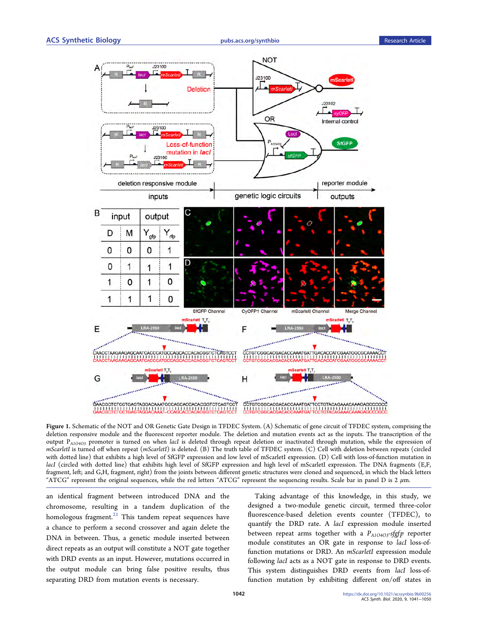<span id="page-1-0"></span>

Figure 1. Schematic of the NOT and OR Genetic Gate Design in TFDEC System. (A) Schematic of gene circuit of TFDEC system, comprising the deletion responsive module and the fluorescent reporter module. The deletion and mutation events act as the inputs. The transcription of the output P<sub>A1O4O3</sub> promoter is turned on when lacI is deleted through repeat deletion or inactivated through mutation, while the expression of mScarletI is turned off when repeat (mScarletI) is deleted. (B) The truth table of TFDEC system. (C) Cell with deletion between repeats (circled with dotted line) that exhibits a high level of SfGFP expression and low level of mScarletI expression. (D) Cell with loss-of-function mutation in lacI (circled with dotted line) that exhibits high level of SfGFP expression and high level of mScarletI expression. The DNA fragments (E,F, fragment, left; and G,H, fragment, right) from the joints between different genetic structures were cloned and sequenced, in which the black letters "ATCG" represent the original sequences, while the red letters "ATCG" represent the sequencing results. Scale bar in panel D is  $2 \mu m$ .

an identical fragment between introduced DNA and the chromosome, resulting in a tandem duplication of the homologous fragment. $21$  This tandem repeat sequences have a chance to perform a second crossover and again delete the DNA in between. Thus, a genetic module inserted between direct repeats as an output will constitute a NOT gate together with DRD events as an input. However, mutations occurred in the output module can bring false positive results, thus separating DRD from mutation events is necessary.

Taking advantage of this knowledge, in this study, we designed a two-module genetic circuit, termed three-color fluorescence-based deletion events counter (TFDEC), to quantify the DRD rate. A lacI expression module inserted between repeat arms together with a  $P_{A1O4O3}$ -sfgfp reporter module constitutes an OR gate in response to lacI loss-offunction mutations or DRD. An *mScarletI* expression module following lacI acts as a NOT gate in response to DRD events. This system distinguishes DRD events from lacI loss-offunction mutation by exhibiting different on/off states in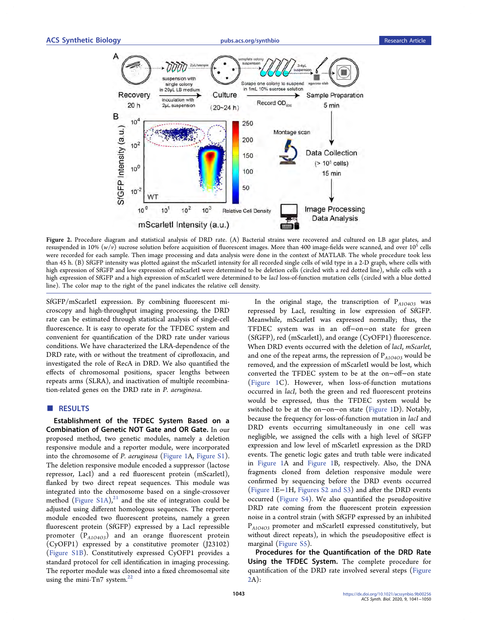<span id="page-2-0"></span>

Figure 2. Procedure diagram and statistical analysis of DRD rate. (A) Bacterial strains were recovered and cultured on LB agar plates, and resuspended in 10%  $(w/v)$  sucrose solution before acquisition of fluorescent images. More than 400 image-fields were scanned, and over 10<sup>5</sup> cells were recorded for each sample. Then image processing and data analysis were done in the context of MATLAB. The whole procedure took less than 45 h. (B) SfGFP intensity was plotted against the mScarletI intensity for all recorded single cells of wild type in a 2-D graph, where cells with high expression of SfGFP and low expression of mScarletI were determined to be deletion cells (circled with a red dotted line), while cells with a high expression of SfGFP and a high expression of mScarletI were determined to be lacI loss-of-function mutation cells (circled with a blue dotted line). The color map to the right of the panel indicates the relative cell density.

SfGFP/mScarletI expression. By combining fluorescent microscopy and high-throughput imaging processing, the DRD rate can be estimated through statistical analysis of single-cell fluorescence. It is easy to operate for the TFDEC system and convenient for quantification of the DRD rate under various conditions. We have characterized the LRA-dependence of the DRD rate, with or without the treatment of ciprofloxacin, and investigated the role of RecA in DRD. We also quantified the effects of chromosomal positions, spacer lengths between repeats arms (SLRA), and inactivation of multiple recombination-related genes on the DRD rate in P. aeruginosa.

## **B** RESULTS

Establishment of the TFDEC System Based on a Combination of Genetic NOT Gate and OR Gate. In our proposed method, two genetic modules, namely a deletion responsive module and a reporter module, were incorporated into the chromosome of P. aeruginosa ([Figure 1A](#page-1-0), [Figure S1](http://pubs.acs.org/doi/suppl/10.1021/acssynbio.9b00256/suppl_file/sb9b00256_si_001.pdf)). The deletion responsive module encoded a suppressor (lactose repressor, LacI) and a red fluorescent protein (mScarletI), flanked by two direct repeat sequences. This module was integrated into the chromosome based on a single-crossover method ([Figure S1A\)](http://pubs.acs.org/doi/suppl/10.1021/acssynbio.9b00256/suppl_file/sb9b00256_si_001.pdf), $^{21}$  $^{21}$  $^{21}$  and the site of integration could be adjusted using different homologous sequences. The reporter module encoded two fluorescent proteins, namely a green fluorescent protein (SfGFP) expressed by a LacI repressible promoter  $(P_{A1O4O3})$  and an orange fluorescent protein (CyOFP1) expressed by a constitutive promoter (J23102) ([Figure S1B](http://pubs.acs.org/doi/suppl/10.1021/acssynbio.9b00256/suppl_file/sb9b00256_si_001.pdf)). Constitutively expressed CyOFP1 provides a standard protocol for cell identification in imaging processing. The reporter module was cloned into a fixed chromosomal site using the mini-Tn7 system. $^{22}$  $^{22}$  $^{22}$ 

In the original stage, the transcription of  $P_{A1O4O3}$  was repressed by LacI, resulting in low expression of SfGFP. Meanwhile, mScarletI was expressed normally; thus, the TFDEC system was in an off−on−on state for green (SfGFP), red (mScarletI), and orange (CyOFP1) fluorescence. When DRD events occurred with the deletion of lacI, mScarlet, and one of the repeat arms, the repression of  $P_{A1O4O3}$  would be removed, and the expression of mScarletI would be lost, which converted the TFDEC system to be at the on−off−on state ([Figure 1](#page-1-0)C). However, when loss-of-function mutations occurred in *lacI*, both the green and red fluorescent proteins would be expressed, thus the TFDEC system would be switched to be at the on−on−on state ([Figure 1](#page-1-0)D). Notably, because the frequency for loss-of-function mutation in lacI and DRD events occurring simultaneously in one cell was negligible, we assigned the cells with a high level of SfGFP expression and low level of mScarletI expression as the DRD events. The genetic logic gates and truth table were indicated in [Figure 1A](#page-1-0) and [Figure 1](#page-1-0)B, respectively. Also, the DNA fragments cloned from deletion responsive module were confirmed by sequencing before the DRD events occurred ([Figure 1](#page-1-0)E−[1H](#page-1-0), [Figures S2 and S3](http://pubs.acs.org/doi/suppl/10.1021/acssynbio.9b00256/suppl_file/sb9b00256_si_001.pdf)) and after the DRD events occurred [\(Figure S4\)](http://pubs.acs.org/doi/suppl/10.1021/acssynbio.9b00256/suppl_file/sb9b00256_si_001.pdf). We also quantified the pseudopositive DRD rate coming from the fluorescent protein expression noise in a control strain (with SfGFP expressed by an inhibited P<sub>A1O4O3</sub> promoter and mScarletI expressed constitutively, but without direct repeats), in which the pseudopositive effect is marginal ([Figure S5](http://pubs.acs.org/doi/suppl/10.1021/acssynbio.9b00256/suppl_file/sb9b00256_si_001.pdf)).

Procedures for the Quantification of the DRD Rate Using the TFDEC System. The complete procedure for quantification of the DRD rate involved several steps (Figure 2A):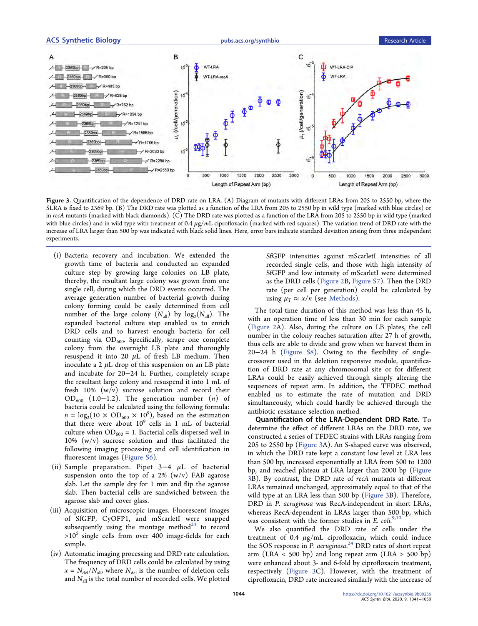# <span id="page-3-0"></span>ACS Synthetic Biology **Account Entity and Synthetic Biology** [pubs.acs.org/synthbio](pubs.acs.org/synthbio?ref=pdf) Research Article



Figure 3. Quantification of the dependence of DRD rate on LRA. (A) Diagram of mutants with different LRAs from 205 to 2550 bp, where the SLRA is fixed to 2369 bp. (B) The DRD rate was plotted as a function of the LRA from 205 to 2550 bp in wild type (marked with blue circles) or in recA mutants (marked with black diamonds). (C) The DRD rate was plotted as a function of the LRA from 205 to 2550 bp in wild type (marked with blue circles) and in wild type with treatment of 0.4  $\mu$ g/mL ciprofloxacin (marked with red squares). The variation trend of DRD rate with the increase of LRA larger than 500 bp was indicated with black solid lines. Here, error bars indicate standard deviation arising from three independent experiments.

- (i) Bacteria recovery and incubation. We extended the growth time of bacteria and conducted an expanded culture step by growing large colonies on LB plate, thereby, the resultant large colony was grown from one single cell, during which the DRD events occurred. The average generation number of bacterial growth during colony forming could be easily determined from cell number of the large colony  $(N_{all})$  by log<sub>2</sub>( $N_{all}$ ). The expanded bacterial culture step enabled us to enrich DRD cells and to harvest enough bacteria for cell counting via  $OD_{600}$ . Specifically, scrape one complete colony from the overnight LB plate and thoroughly resuspend it into 20  $\mu$ L of fresh LB medium. Then inoculate a 2  $\mu$ L drop of this suspension on an LB plate and incubate for 20−24 h. Further, completely scrape the resultant large colony and resuspend it into 1 mL of fresh 10% (w/v) sucrose solution and record their OD<sub>600</sub> (1.0−1.2). The generation number  $(n)$  of bacteria could be calculated using the following formula:  $n = \log_2(10 \times \text{OD}_{600} \times 10^9)$ , based on the estimation that there were about  $10^9$  cells in 1 mL of bacterial culture when  $OD_{600} = 1$ . Bacterial cells dispersed well in 10% (w/v) sucrose solution and thus facilitated the following imaging processing and cell identification in fluorescent images ([Figure S6](http://pubs.acs.org/doi/suppl/10.1021/acssynbio.9b00256/suppl_file/sb9b00256_si_001.pdf)).
- (ii) Sample preparation. Pipet  $3-4$  µL of bacterial suspension onto the top of a 2%  $(w/v)$  FAB agarose slab. Let the sample dry for 1 min and flip the agarose slab. Then bacterial cells are sandwiched between the agarose slab and cover glass.
- (iii) Acquisition of microscopic images. Fluorescent images of SfGFP, CyOFP1, and mScarletI were snapped subsequently using the montage method $^{23}$  to record  $>10<sup>5</sup>$  single cells from over 400 image-fields for each sample.
- (iv) Automatic imaging processing and DRD rate calculation. The frequency of DRD cells could be calculated by using  $x = N_{\text{del}}/N_{\text{all}}$ , where  $N_{\text{del}}$  is the number of deletion cells and  $N<sub>all</sub>$  is the total number of recorded cells. We plotted

SfGFP intensities against mScarletI intensities of all recorded single cells, and those with high intensity of SfGFP and low intensity of mScarletI were determined as the DRD cells [\(Figure 2B](#page-2-0), [Figure S7\)](http://pubs.acs.org/doi/suppl/10.1021/acssynbio.9b00256/suppl_file/sb9b00256_si_001.pdf). Then the DRD rate (per cell per generation) could be calculated by using  $\mu_T \approx x/n$  (see [Methods\)](#page-6-0).

The total time duration of this method was less than 45 h, with an operation time of less than 30 min for each sample ([Figure 2A](#page-2-0)). Also, during the culture on LB plates, the cell number in the colony reaches saturation after 27 h of growth, thus cells are able to divide and grow when we harvest them in 20−24 h [\(Figure S8\)](http://pubs.acs.org/doi/suppl/10.1021/acssynbio.9b00256/suppl_file/sb9b00256_si_001.pdf). Owing to the flexibility of singlecrossover used in the deletion responsive module, quantification of DRD rate at any chromosomal site or for different LRAs could be easily achieved through simply altering the sequences of repeat arm. In addition, the TFDEC method enabled us to estimate the rate of mutation and DRD simultaneously, which could hardly be achieved through the antibiotic resistance selection method.

Quantification of the LRA-Dependent DRD Rate. To determine the effect of different LRAs on the DRD rate, we constructed a series of TFDEC strains with LRAs ranging from 205 to 2550 bp (Figure 3A). An S-shaped curve was observed, in which the DRD rate kept a constant low level at LRA less than 500 bp, increased exponentially at LRA from 500 to 1200 bp, and reached plateau at LRA larger than 2000 bp (Figure 3B). By contrast, the DRD rate of recA mutants at different LRAs remained unchanged, approximately equal to that of the wild type at an LRA less than 500 bp (Figure 3B). Therefore, DRD in P. aeruginosa was RecA-independent in short LRAs, whereas RecA-dependent in LRAs larger than 500 bp, which was consistent with the former studies in E.  $\text{coll.}^{9,10}$  $\text{coll.}^{9,10}$  $\text{coll.}^{9,10}$ 

We also quantified the DRD rate of cells under the treatment of 0.4  $\mu$ g/mL ciprofloxacin, which could induce the SOS response in P. aeruginosa.<sup>[24](#page-8-0)</sup> DRD rates of short repeat arm (LRA  $\lt$  500 bp) and long repeat arm (LRA  $>$  500 bp) were enhanced about 3- and 6-fold by ciprofloxacin treatment, respectively (Figure 3C). However, with the treatment of ciprofloxacin, DRD rate increased similarly with the increase of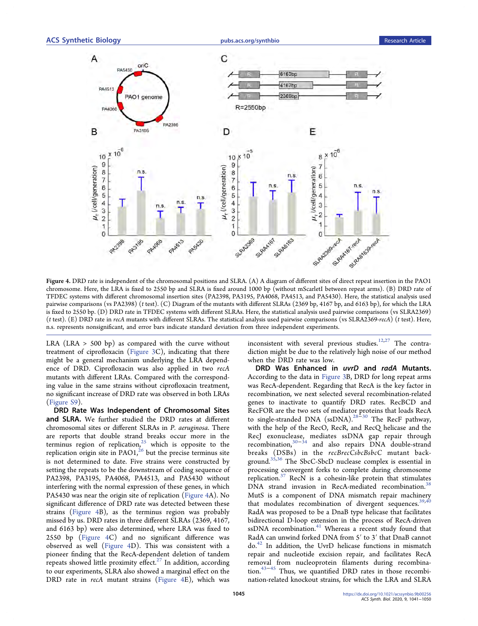

Figure 4. DRD rate is independent of the chromosomal positions and SLRA. (A) A diagram of different sites of direct repeat insertion in the PAO1 chromosome. Here, the LRA is fixed to 2550 bp and SLRA is fixed around 1000 bp (without mScarletI between repeat arms). (B) DRD rate of TFDEC systems with different chromosomal insertion sites (PA2398, PA3195, PA4068, PA4513, and PA5430). Here, the statistical analysis used pairwise comparisons (vs PA2398) (t test). (C) Diagram of the mutants with different SLRAs (2369 bp, 4167 bp, and 6163 bp), for which the LRA is fixed to 2550 bp. (D) DRD rate in TFDEC systems with different SLRAs. Here, the statistical analysis used pairwise comparisons (vs SLRA2369) (t test). (E) DRD rate in recA mutants with different SLRAs. The statistical analysis used pairwise comparisons (vs SLRA2369-recA) (t test). Here, n.s. represents nonsignificant, and error bars indicate standard deviation from three independent experiments.

LRA (LRA  $>$  500 bp) as compared with the curve without treatment of ciprofloxacin [\(Figure 3](#page-3-0)C), indicating that there might be a general mechanism underlying the LRA dependence of DRD. Ciprofloxacin was also applied in two recA mutants with different LRAs. Compared with the corresponding value in the same strains without ciprofloxacin treatment, no significant increase of DRD rate was observed in both LRAs ([Figure S9\)](http://pubs.acs.org/doi/suppl/10.1021/acssynbio.9b00256/suppl_file/sb9b00256_si_001.pdf).

DRD Rate Was Independent of Chromosomal Sites and SLRA. We further studied the DRD rates at different chromosomal sites or different SLRAs in P. aeruginosa. There are reports that double strand breaks occur more in the terminus region of replication,<sup>[25](#page-8-0)</sup> which is opposite to the replication origin site in  $PAO1<sup>26</sup>$  $PAO1<sup>26</sup>$  $PAO1<sup>26</sup>$  but the precise terminus site is not determined to date. Five strains were constructed by setting the repeats to be the downstream of coding sequence of PA2398, PA3195, PA4068, PA4513, and PA5430 without interfering with the normal expression of these genes, in which PA5430 was near the origin site of replication (Figure 4A). No significant difference of DRD rate was detected between these strains (Figure 4B), as the terminus region was probably missed by us. DRD rates in three different SLRAs (2369, 4167, and 6163 bp) were also determined, where LRA was fixed to 2550 bp (Figure 4C) and no significant difference was observed as well (Figure 4D). This was consistent with a pioneer finding that the RecA-dependent deletion of tandem repeats showed little proximity effect. $27$  In addition, according to our experiments, SLRA also showed a marginal effect on the DRD rate in recA mutant strains (Figure 4E), which was

inconsistent with several previous studies. $12,27$  $12,27$  $12,27$  The contradiction might be due to the relatively high noise of our method when the DRD rate was low.

DRD Was Enhanced in uvrD and radA Mutants. According to the data in [Figure 3](#page-3-0)B, DRD for long repeat arms was RecA-dependent. Regarding that RecA is the key factor in recombination, we next selected several recombination-related genes to inactivate to quantify DRD rates. RecBCD and RecFOR are the two sets of mediator proteins that loads RecA to single-stranded DNA ( $\text{ssDNA}$ ).<sup>[28](#page-9-0) $\text{=30}$  $\text{=30}$  $\text{=30}$ </sup> The RecF pathway, with the help of the RecO, RecR, and RecQ helicase and the RecJ exonuclease, mediates ssDNA gap repair through recombination,[30](#page-9-0)−[34](#page-9-0) and also repairs DNA double-strand breaks (DSBs) in the recBrecCsbcBsbcC mutant background.[35](#page-9-0),[36](#page-9-0) The SbcC-SbcD nuclease complex is essential in processing convergent forks to complete during chromosome replication.<sup>[37](#page-9-0)</sup> RecN is a cohesin-like protein that stimulates DNA strand invasion in RecA-mediated recombination.<sup>[38](#page-9-0)</sup> MutS is a component of DNA mismatch repair machinery that modulates recombination of divergent sequences.  $39,40$ RadA was proposed to be a DnaB type helicase that facilitates bidirectional D-loop extension in the process of RecA-driven ssDNA recombination.<sup>[41](#page-9-0)</sup> Whereas a recent study found that RadA can unwind forked DNA from 5′ to 3′ that DnaB cannot do.[42](#page-9-0) In addition, the UvrD helicase functions in mismatch repair and nucleotide excision repair, and facilitates RecA removal from nucleoprotein filaments during recombination.[43](#page-9-0)−[45](#page-9-0) Thus, we quantified DRD rates in those recombination-related knockout strains, for which the LRA and SLRA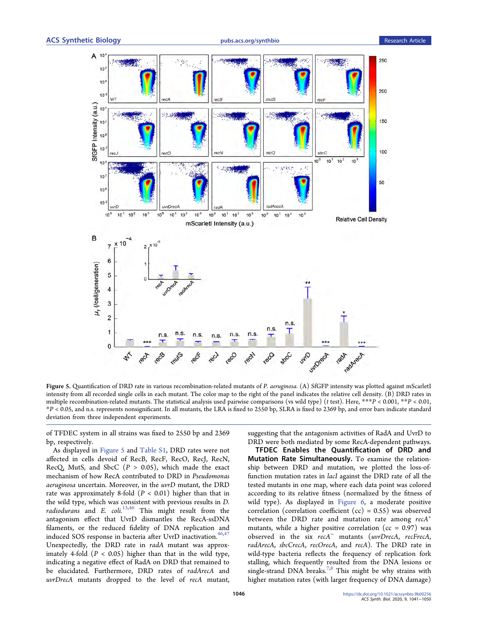<span id="page-5-0"></span>

Figure 5. Quantification of DRD rate in various recombination-related mutants of P. aeruginosa. (A) SfGFP intensity was plotted against mScarletI intensity from all recorded single cells in each mutant. The color map to the right of the panel indicates the relative cell density. (B) DRD rates in multiple recombination-related mutants. The statistical analysis used pairwise comparisons (vs wild type) ( $t$  test). Here,  $***P$  < 0.001,  $**P$  < 0.01, \*P < 0.05, and n.s. represents nonsignificant. In all mutants, the LRA is fixed to 2550 bp, SLRA is fixed to 2369 bp, and error bars indicate standard deviation from three independent experiments.

of TFDEC system in all strains was fixed to 2550 bp and 2369 bp, respectively.

As displayed in Figure 5 and [Table S1](http://pubs.acs.org/doi/suppl/10.1021/acssynbio.9b00256/suppl_file/sb9b00256_si_001.pdf), DRD rates were not affected in cells devoid of RecB, RecF, RecO, RecJ, RecN, RecQ, MutS, and SbcC  $(P > 0.05)$ , which made the exact mechanism of how RecA contributed to DRD in Pseudomonas aeruginosa uncertain. Moreover, in the uvrD mutant, the DRD rate was approximately 8-fold  $(P < 0.01)$  higher than that in the wild type, which was consistent with previous results in D. radiodurans and E.  $\text{coli.}^{13,46}$  $\text{coli.}^{13,46}$  $\text{coli.}^{13,46}$  $\text{coli.}^{13,46}$  $\text{coli.}^{13,46}$  This might result from the antagonism effect that UvrD dismantles the RecA-ssDNA filaments, or the reduced fidelity of DNA replication and induced SOS response in bacteria after UvrD inactivation.<sup>[46,47](#page-9-0)</sup> Unexpectedly, the DRD rate in radA mutant was approximately 4-fold  $(P < 0.05)$  higher than that in the wild type, indicating a negative effect of RadA on DRD that remained to be elucidated. Furthermore, DRD rates of radArecA and uvrDrecA mutants dropped to the level of recA mutant,

suggesting that the antagonism activities of RadA and UvrD to DRD were both mediated by some RecA-dependent pathways.

TFDEC Enables the Quantification of DRD and Mutation Rate Simultaneously. To examine the relationship between DRD and mutation, we plotted the loss-offunction mutation rates in lacI against the DRD rate of all the tested mutants in one map, where each data point was colored according to its relative fitness (normalized by the fitness of wild type). As displayed in [Figure 6,](#page-6-0) a moderate positive correlation (correlation coefficient  $(cc) = 0.55$ ) was observed between the DRD rate and mutation rate among  $recA<sup>+</sup>$ mutants, while a higher positive correlation ( $cc = 0.97$ ) was observed in the six recA<sup>−</sup> mutants (uvrDrecA, recFrecA, radArecA, sbcCrecA, recOrecA, and recA). The DRD rate in wild-type bacteria reflects the frequency of replication fork stalling, which frequently resulted from the DNA lesions or single-strand DNA breaks.<sup>7,8</sup> This might be why strains with higher mutation rates (with larger frequency of DNA damage)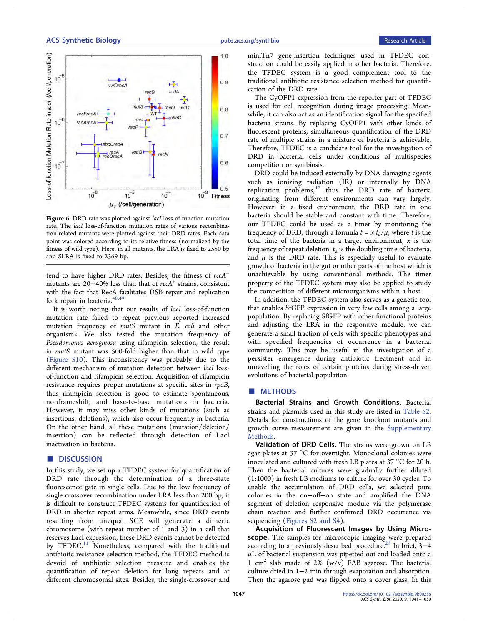<span id="page-6-0"></span>

Figure 6. DRD rate was plotted against *lacI* loss-of-function mutation rate. The lacI loss-of-function mutation rates of various recombination-related mutants were plotted against their DRD rates. Each data point was colored according to its relative fitness (normalized by the fitness of wild type). Here, in all mutants, the LRA is fixed to 2550 bp and SLRA is fixed to 2369 bp.

tend to have higher DRD rates. Besides, the fitness of recA<sup>−</sup> mutants are 20–40% less than that of recA<sup>+</sup> strains, consistent with the fact that RecA facilitates DSB repair and replication fork repair in bacteria.  $48,49$  $48,49$ 

It is worth noting that our results of lacI loss-of-function mutation rate failed to repeat previous reported increased mutation frequency of mutS mutant in E. coli and other organisms. We also tested the mutation frequency of Pseudomonas aeruginosa using rifampicin selection, the result in mutS mutant was 500-fold higher than that in wild type ([Figure S10](http://pubs.acs.org/doi/suppl/10.1021/acssynbio.9b00256/suppl_file/sb9b00256_si_001.pdf)). This inconsistency was probably due to the different mechanism of mutation detection between lacI lossof-function and rifampicin selection. Acquisition of rifampicin resistance requires proper mutations at specific sites in rpoB, thus rifampicin selection is good to estimate spontaneous, nonframeshift, and base-to-base mutations in bacteria. However, it may miss other kinds of mutations (such as insertions, deletions), which also occur frequently in bacteria. On the other hand, all these mutations (mutation/deletion/ insertion) can be reflected through detection of LacI inactivation in bacteria.

# ■ DISCUSSION

In this study, we set up a TFDEC system for quantification of DRD rate through the determination of a three-state fluorescence gate in single cells. Due to the low frequency of single crossover recombination under LRA less than 200 bp, it is difficult to construct TFDEC systems for quantification of DRD in shorter repeat arms. Meanwhile, since DRD events resulting from unequal SCE will generate a dimeric chromosome (with repeat number of 1 and 3) in a cell that reserves LacI expression, these DRD events cannot be detected by TFDEC.<sup>[11](#page-8-0)</sup> Nonetheless, compared with the traditional antibiotic resistance selection method, the TFDEC method is devoid of antibiotic selection pressure and enables the quantification of repeat deletion for long repeats and at different chromosomal sites. Besides, the single-crossover and

miniTn7 gene-insertion techniques used in TFDEC construction could be easily applied in other bacteria. Therefore, the TFDEC system is a good complement tool to the traditional antibiotic resistance selection method for quantification of the DRD rate.

The CyOFP1 expression from the reporter part of TFDEC is used for cell recognition during image processing. Meanwhile, it can also act as an identification signal for the specified bacteria strains. By replacing CyOFP1 with other kinds of fluorescent proteins, simultaneous quantification of the DRD rate of multiple strains in a mixture of bacteria is achievable. Therefore, TFDEC is a candidate tool for the investigation of DRD in bacterial cells under conditions of multispecies competition or symbiosis.

DRD could be induced externally by DNA damaging agents such as ionizing radiation (IR) or internally by DNA replication problems,  $47$  thus the DRD rate of bacteria originating from different environments can vary largely. However, in a fixed environment, the DRD rate in one bacteria should be stable and constant with time. Therefore, our TFDEC could be used as a timer by monitoring the frequency of DRD, through a formula  $t = x \cdot t_d/\mu$ , where t is the total time of the bacteria in a target environment,  $x$  is the frequency of repeat deletion,  $t_d$  is the doubling time of bacteria, and  $\mu$  is the DRD rate. This is especially useful to evaluate growth of bacteria in the gut or other parts of the host which is unachievable by using conventional methods. The timer property of the TFDEC system may also be applied to study the competition of different microorganisms within a host.

In addition, the TFDEC system also serves as a genetic tool that enables SfGFP expression in very few cells among a large population. By replacing SfGFP with other functional proteins and adjusting the LRA in the responsive module, we can generate a small fraction of cells with specific phenotypes and with specified frequencies of occurrence in a bacterial community. This may be useful in the investigation of a persister emergence during antibiotic treatment and in unravelling the roles of certain proteins during stress-driven evolutions of bacterial population.

# ■ METHODS

Bacterial Strains and Growth Conditions. Bacterial strains and plasmids used in this study are listed in [Table S2](http://pubs.acs.org/doi/suppl/10.1021/acssynbio.9b00256/suppl_file/sb9b00256_si_001.pdf). Details for constructions of the gene knockout mutants and growth curve measurement are given in the [Supplementary](http://pubs.acs.org/doi/suppl/10.1021/acssynbio.9b00256/suppl_file/sb9b00256_si_001.pdf) [Methods](http://pubs.acs.org/doi/suppl/10.1021/acssynbio.9b00256/suppl_file/sb9b00256_si_001.pdf).

Validation of DRD Cells. The strains were grown on LB agar plates at 37 °C for overnight. Monoclonal colonies were inoculated and cultured with fresh LB plates at 37 °C for 20 h. Then the bacterial cultures were gradually further diluted (1:1000) in fresh LB mediums to culture for over 30 cycles. To enable the accumulation of DRD cells, we selected pure colonies in the on−off−on state and amplified the DNA segment of deletion responsive module via the polymerase chain reaction and further confirmed DRD occurrence via sequencing [\(Figures S2 and S4](http://pubs.acs.org/doi/suppl/10.1021/acssynbio.9b00256/suppl_file/sb9b00256_si_001.pdf)).

Acquisition of Fluorescent Images by Using Microscope. The samples for microscopic imaging were prepared according to a previously described procedure.<sup>23</sup> In brief, 3-4  $\mu$ L of bacterial suspension was pipetted out and loaded onto a 1 cm<sup>2</sup> slab made of 2%  $(w/v)$  FAB agarose. The bacterial culture dried in 1−2 min through evaporation and absorption. Then the agarose pad was flipped onto a cover glass. In this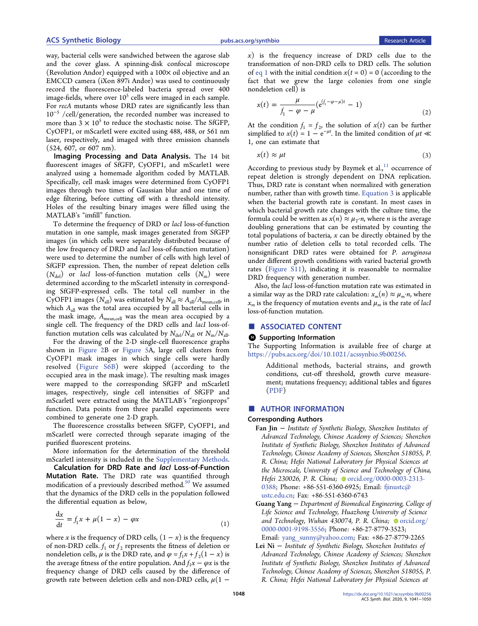<span id="page-7-0"></span>way, bacterial cells were sandwiched between the agarose slab and the cover glass. A spinning-disk confocal microscope (Revolution Andor) equipped with a  $100\times$  oil objective and an EMCCD camera (iXon 897i Andor) was used to continuously record the fluorescence-labeled bacteria spread over 400 image-fields, where over  $10<sup>5</sup>$  cells were imaged in each sample. For recA mutants whose DRD rates are significantly less than  $10^{-5}$  /cell/generation, the recorded number was increased to more than  $3 \times 10^5$  to reduce the stochastic noise. The SfGFP, CyOFP1, or mScarletI were excited using 488, 488, or 561 nm laser, respectively, and imaged with three emission channels (524, 607, or 607 nm).

Imaging Processing and Data Analysis. The 14 bit fluorescent images of SfGFP, CyOFP1, and mScarlet1 were analyzed using a homemade algorithm coded by MATLAB. Specifically, cell mask images were determined from CyOFP1 images through two times of Gaussian blur and one time of edge filtering, before cutting off with a threshold intensity. Holes of the resulting binary images were filled using the MATLAB's "imfill" function.

To determine the frequency of DRD or lacI loss-of-function mutation in one sample, mask images generated from SfGFP images (in which cells were separately distributed because of the low frequency of DRD and lacI loss-of-function mutation) were used to determine the number of cells with high level of SfGFP expression. Then, the number of repeat deletion cells  $(N_{\text{del}})$  or *lacI* loss-of-function mutation cells  $(N_{\text{m}})$  were determined according to the mScarletI intensity in corresponding SfGFP-expressed cells. The total cell number in the CyOFP1 images ( $N_{\text{all}}$ ) was estimated by  $N_{\text{all}} \approx A_{\text{all}}/A_{\text{mean,cell}}$  in which  $A_{all}$  was the total area occupied by all bacterial cells in the mask image,  $A_{mean,cell}$  was the mean area occupied by a single cell. The frequency of the DRD cells and lacI loss-offunction mutation cells was calculated by  $N_{\text{del}}/N_{\text{all}}$  or  $N_{\text{m}}/N_{\text{all}}$ .

For the drawing of the 2-D single-cell fluorescence graphs shown in [Figure 2B](#page-2-0) or [Figure 5A](#page-5-0), large cell clusters from CyOFP1 mask images in which single cells were hardly resolved ([Figure S6B](http://pubs.acs.org/doi/suppl/10.1021/acssynbio.9b00256/suppl_file/sb9b00256_si_001.pdf)) were skipped (according to the occupied area in the mask image). The resulting mask images were mapped to the corresponding SfGFP and mScarletI images, respectively, single cell intensities of SfGFP and mScarletI were extracted using the MATLAB's "regionprops" function. Data points from three parallel experiments were combined to generate one 2-D graph.

The fluorescence crosstalks between SfGFP, CyOFP1, and mScarletI were corrected through separate imaging of the purified fluorescent proteins.

More information for the determination of the threshold mScarletI intensity is included in the [Supplementary Methods](http://pubs.acs.org/doi/suppl/10.1021/acssynbio.9b00256/suppl_file/sb9b00256_si_001.pdf).

Calculation for DRD Rate and lacl Loss-of-Function Mutation Rate. The DRD rate was quantified through modification of a previously described method.<sup>[50](#page-9-0)</sup> We assumed that the dynamics of the DRD cells in the population followed the differential equation as below,

$$
\frac{dx}{dt} = f_1 x + \mu (1 - x) - \varphi x \tag{1}
$$

where x is the frequency of DRD cells,  $(1 - x)$  is the frequency of non-DRD cells.  $f_1$  or  $f_2$  represents the fitness of deletion or nondeletion cells,  $\mu$  is the DRD rate, and  $\varphi = f_1x + f_2(1 - x)$  is the average fitness of the entire population. And  $f_1x - \varphi x$  is the frequency change of DRD cells caused by the difference of growth rate between deletion cells and non-DRD cells,  $\mu(1 -$ 

 $x$ ) is the frequency increase of DRD cells due to the transformation of non-DRD cells to DRD cells. The solution of eq 1 with the initial condition  $x(t = 0) = 0$  (according to the fact that we grew the large colonies from one single nondeletion cell) is

$$
x(t) = \frac{\mu}{f_1 - \varphi - \mu} (e^{(f_1 - \varphi - \mu)t} - 1)
$$
\n(2)

At the condition  $f_1 = f_2$ , the solution of  $x(t)$  can be further simplified to  $x(t) = 1 - e^{-\mu t}$ . In the limited condition of  $\mu t \ll$ 1, one can estimate that

$$
x(t) \approx \mu t \tag{3}
$$

According to previous study by Bzymek et al., $^{11}$  $^{11}$  $^{11}$  occurrence of repeat deletion is strongly dependent on DNA replication. Thus, DRD rate is constant when normalized with generation number, rather than with growth time. Equation 3 is applicable when the bacterial growth rate is constant. In most cases in which bacterial growth rate changes with the culture time, the formula could be written as  $x(n) \approx \mu_T \cdot n$ , where *n* is the average doubling generations that can be estimated by counting the total populations of bacteria,  $x$  can be directly obtained by the number ratio of deletion cells to total recorded cells. The nonsignificant DRD rates were obtained for P. aeruginosa under different growth conditions with varied bacterial growth rates [\(Figure S11\)](http://pubs.acs.org/doi/suppl/10.1021/acssynbio.9b00256/suppl_file/sb9b00256_si_001.pdf), indicating it is reasonable to normalize DRD frequency with generation number.

Also, the lacI loss-of-function mutation rate was estimated in a similar way as the DRD rate calculation:  $x_m(n) \approx \mu_m \cdot n$ , where  $x_m$  is the frequency of mutation events and  $\mu_m$  is the rate of lacI loss-of-function mutation.

# ■ ASSOCIATED CONTENT

#### **9** Supporting Information

The Supporting Information is available free of charge at [https://pubs.acs.org/doi/10.1021/acssynbio.9b00256](https://pubs.acs.org/doi/10.1021/acssynbio.9b00256?goto=supporting-info).

Additional methods, bacterial strains, and growth conditions, cut-off threshold, growth curve measurement; mutations frequency; additional tables and figures ([PDF](http://pubs.acs.org/doi/suppl/10.1021/acssynbio.9b00256/suppl_file/sb9b00256_si_001.pdf))

# ■ AUTHOR INFORMATION

#### Corresponding Authors

- Fan Jin <sup>−</sup> Institute of Synthetic Biology, Shenzhen Institutes of Advanced Technology, Chinese Academy of Sciences; Shenzhen Institute of Synthetic Biology, Shenzhen Institutes of Advanced Technology, Chinese Academy of Sciences, Shenzhen 518055, P. R. China; Hefei National Laboratory for Physical Sciences at the Microscale, University of Science and Technology of China, Hefei 230026, P. R. China; Orcid.org/0000-0003-2313-[0388](http://orcid.org/0000-0003-2313-0388); Phone: +86-551-6360-6925; Email: [fjinustc@](mailto:fjinustc@ustc.edu.cn) [ustc.edu.cn](mailto:fjinustc@ustc.edu.cn); Fax: +86-551-6360-6743
- Guang Yang − Department of Biomedical Engineering, College of Life Science and Technology, Huazhong University of Science and Technology, Wuhan 430074, P. R. China;  $\bullet$  [orcid.org/](http://orcid.org/0000-0001-9198-3556) [0000-0001-9198-3556](http://orcid.org/0000-0001-9198-3556); Phone: +86-27-8779-3523;

Email: [yang\\_sunny@yahoo.com](mailto:yang_sunny@yahoo.com); Fax: +86-27-8779-2265 Lei Ni <sup>−</sup> Institute of Synthetic Biology, Shenzhen Institutes of

Advanced Technology, Chinese Academy of Sciences; Shenzhen Institute of Synthetic Biology, Shenzhen Institutes of Advanced Technology, Chinese Academy of Sciences, Shenzhen 518055, P. R. China; Hefei National Laboratory for Physical Sciences at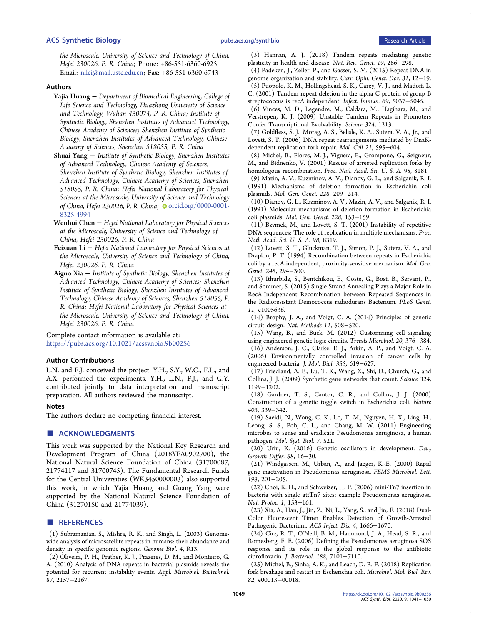<span id="page-8-0"></span>the Microscale, University of Science and Technology of China, Hefei 230026, P. R. China; Phone: +86-551-6360-6925; Email: [nilei@mail.ustc.edu.cn;](mailto:nilei@mail.ustc.edu.cn) Fax: +86-551-6360-6743

### Authors

- Yajia Huang <sup>−</sup> Department of Biomedical Engineering, College of Life Science and Technology, Huazhong University of Science and Technology, Wuhan 430074, P. R. China; Institute of Synthetic Biology, Shenzhen Institutes of Advanced Technology, Chinese Academy of Sciences; Shenzhen Institute of Synthetic Biology, Shenzhen Institutes of Advanced Technology, Chinese Academy of Sciences, Shenzhen 518055, P. R. China
- Shuai Yang <sup>−</sup> Institute of Synthetic Biology, Shenzhen Institutes of Advanced Technology, Chinese Academy of Sciences; Shenzhen Institute of Synthetic Biology, Shenzhen Institutes of Advanced Technology, Chinese Academy of Sciences, Shenzhen 518055, P. R. China; Hefei National Laboratory for Physical Sciences at the Microscale, University of Science and Technology of China, Hefei 230026, P. R. China; [orcid.org/0000-0001-](http://orcid.org/0000-0001-8325-4994) [8325-4994](http://orcid.org/0000-0001-8325-4994)
- Wenhui Chen − Hefei National Laboratory for Physical Sciences at the Microscale, University of Science and Technology of China, Hefei 230026, P. R. China
- Feixuan Li − Hefei National Laboratory for Physical Sciences at the Microscale, University of Science and Technology of China, Hefei 230026, P. R. China
- Aiguo Xia <sup>−</sup> Institute of Synthetic Biology, Shenzhen Institutes of Advanced Technology, Chinese Academy of Sciences; Shenzhen Institute of Synthetic Biology, Shenzhen Institutes of Advanced Technology, Chinese Academy of Sciences, Shenzhen 518055, P. R. China; Hefei National Laboratory for Physical Sciences at the Microscale, University of Science and Technology of China, Hefei 230026, P. R. China

Complete contact information is available at: [https://pubs.acs.org/10.1021/acssynbio.9b00256](https://pubs.acs.org/doi/10.1021/acssynbio.9b00256?ref=pdf)

#### Author Contributions

L.N. and F.J. conceived the project. Y.H., S.Y., W.C., F.L., and A.X. performed the experiments. Y.H., L.N., F.J., and G.Y. contributed jointly to data interpretation and manuscript preparation. All authors reviewed the manuscript.

#### Notes

The authors declare no competing financial interest.

## ■ ACKNOWLEDGMENTS

This work was supported by the National Key Research and Development Program of China (2018YFA0902700), the National Natural Science Foundation of China (31700087, 21774117 and 31700745). The Fundamental Research Funds for the Central Universities (WK3450000003) also supported this work, in which Yajia Huang and Guang Yang were supported by the National Natural Science Foundation of China (31270150 and 21774039).

#### ■ REFERENCES

(1) Subramanian, S., Mishra, R. K., and Singh, L. (2003[\) Genome](https://dx.doi.org/10.1186/gb-2003-4-2-r13)[wide analysis of microsatellite repeats in humans: their abundance and](https://dx.doi.org/10.1186/gb-2003-4-2-r13) [density in specific genomic regions.](https://dx.doi.org/10.1186/gb-2003-4-2-r13) Genome Biol. 4, R13.

(2) Oliveira, P. H., Prather, K. J., Prazeres, D. M., and Monteiro, G. A. (2010[\) Analysis of DNA repeats in bacterial plasmids reveals the](https://dx.doi.org/10.1007/s00253-010-2671-7) [potential for recurrent instability events.](https://dx.doi.org/10.1007/s00253-010-2671-7) Appl. Microbiol. Biotechnol. 87, 2157−2167.

(3) Hannan, A. J. (2018[\) Tandem repeats mediating genetic](https://dx.doi.org/10.1038/nrg.2017.115) [plasticity in health and disease.](https://dx.doi.org/10.1038/nrg.2017.115) Nat. Rev. Genet. 19, 286−298.

(4) Padeken, J., Zeller, P., and Gasser, S. M. (2015[\) Repeat DNA in](https://dx.doi.org/10.1016/j.gde.2015.03.009) [genome organization and stability.](https://dx.doi.org/10.1016/j.gde.2015.03.009) Curr. Opin. Genet. Dev. 31, 12−19.

(5) Puopolo, K. M., Hollingshead, S. K., Carey, V. J., and Madoff, L. C. (2001[\) Tandem repeat deletion in the alpha C protein of group B](https://dx.doi.org/10.1128/IAI.69.8.5037-5045.2001) [streptococcus is recA independent.](https://dx.doi.org/10.1128/IAI.69.8.5037-5045.2001) Infect. Immun. 69, 5037−5045.

(6) Vinces, M. D., Legendre, M., Caldara, M., Hagihara, M., and Verstrepen, K. J. (2009) [Unstable Tandem Repeats in Promoters](https://dx.doi.org/10.1126/science.1170097) [Confer Transcriptional Evolvability.](https://dx.doi.org/10.1126/science.1170097) Science 324, 1213.

(7) Goldfless, S. J., Morag, A. S., Belisle, K. A., Sutera, V. A., Jr., and Lovett, S. T. (2006[\) DNA repeat rearrangements mediated by DnaK](https://dx.doi.org/10.1016/j.molcel.2006.01.025)[dependent replication fork repair.](https://dx.doi.org/10.1016/j.molcel.2006.01.025) Mol. Cell 21, 595−604.

(8) Michel, B., Flores, M.-J., Viguera, E., Grompone, G., Seigneur, M., and Bidnenko, V. (2001[\) Rescue of arrested replication forks by](https://dx.doi.org/10.1073/pnas.111008798) [homologous recombination.](https://dx.doi.org/10.1073/pnas.111008798) Proc. Natl. Acad. Sci. U. S. A. 98, 8181.

(9) Mazin, A. V., Kuzminov, A. V., Dianov, G. L., and Salganik, R. I. (1991[\) Mechanisms of deletion formation in Escherichin coli](https://dx.doi.org/10.1007/BF00282467) [plasmids.](https://dx.doi.org/10.1007/BF00282467) Mol. Gen. Genet. 228, 209−214.

(10) Dianov, G. L., Kuzminov, A. V., Mazin, A. V., and Salganik, R. I. (1991) [Molecular mechanisms of deletion formation in Escherichia](https://dx.doi.org/10.1007/BF00282460) [coli plasmids.](https://dx.doi.org/10.1007/BF00282460) Mol. Gen. Genet. 228, 153−159.

(11) Bzymek, M., and Lovett, S. T. (2001) [Instability of repetitive](https://dx.doi.org/10.1073/pnas.111008398) [DNA sequences: The role of replication in multiple mechanisms.](https://dx.doi.org/10.1073/pnas.111008398) Proc. Natl. Acad. Sci. U. S. A. 98, 8319.

(12) Lovett, S. T., Gluckman, T. J., Simon, P. J., Sutera, V. A., and Drapkin, P. T. (1994) [Recombination between repeats in Escherichia](https://dx.doi.org/10.1007/BF00290109) [coli by a recA-independent, proximity-sensitive mechanism.](https://dx.doi.org/10.1007/BF00290109) Mol. Gen. Genet. 245, 294−300.

(13) Ithurbide, S., Bentchikou, E., Coste, G., Bost, B., Servant, P., and Sommer, S. (2015) [Single Strand Annealing Plays a Major Role in](https://dx.doi.org/10.1371/journal.pgen.1005636) [RecA-Independent Recombination between Repeated Sequences in](https://dx.doi.org/10.1371/journal.pgen.1005636) [the Radioresistant Deinococcus radiodurans Bacterium.](https://dx.doi.org/10.1371/journal.pgen.1005636) PLoS Genet. 11, e1005636.

(14) Brophy, J. A., and Voigt, C. A. (2014[\) Principles of genetic](https://dx.doi.org/10.1038/nmeth.2926) [circuit design.](https://dx.doi.org/10.1038/nmeth.2926) Nat. Methods 11, 508−520.

(15) Wang, B., and Buck, M. (2012[\) Customizing cell signaling](https://dx.doi.org/10.1016/j.tim.2012.05.001) [using engineered genetic logic circuits.](https://dx.doi.org/10.1016/j.tim.2012.05.001) Trends Microbiol. 20, 376−384. (16) Anderson, J. C., Clarke, E. J., Arkin, A. P., and Voigt, C. A. (2006[\) Environmentally controlled invasion of cancer cells by](https://dx.doi.org/10.1016/j.jmb.2005.10.076) [engineered bacteria.](https://dx.doi.org/10.1016/j.jmb.2005.10.076) J. Mol. Biol. 355, 619−627.

(17) Friedland, A. E., Lu, T. K., Wang, X., Shi, D., Church, G., and Collins, J. J. (2009[\) Synthetic gene networks that count.](https://dx.doi.org/10.1126/science.1172005) Science 324, 1199−1202.

(18) Gardner, T. S., Cantor, C. R., and Collins, J. J. (2000) [Construction of a genetic toggle switch in Escherichia coli.](https://dx.doi.org/10.1038/35002131) Nature 403, 339−342.

(19) Saeidi, N., Wong, C. K., Lo, T. M., Nguyen, H. X., Ling, H., Leong, S. S., Poh, C. L., and Chang, M. W. (2011) [Engineering](https://dx.doi.org/10.1038/msb.2011.55) [microbes to sense and eradicate Pseudomonas aeruginosa, a human](https://dx.doi.org/10.1038/msb.2011.55) [pathogen.](https://dx.doi.org/10.1038/msb.2011.55) Mol. Syst. Biol. 7, 521.

(20) Uriu, K. (2016[\) Genetic oscillators in development.](https://dx.doi.org/10.1111/dgd.12262) Dev., Growth Differ. 58, 16−30.

(21) Windgassen, M., Urban, A., and Jaeger, K.-E. (2000[\) Rapid](https://dx.doi.org/10.1111/j.1574-6968.2000.tb09424.x) [gene inactivation in Pseudomonas aeruginosa.](https://dx.doi.org/10.1111/j.1574-6968.2000.tb09424.x) FEMS Microbiol. Lett. 193, 201−205.

(22) Choi, K. H., and Schweizer, H. P. (2006[\) mini-Tn7 insertion in](https://dx.doi.org/10.1038/nprot.2006.24) [bacteria with single attTn7 sites: example Pseudomonas aeruginosa.](https://dx.doi.org/10.1038/nprot.2006.24) Nat. Protoc. 1, 153−161.

(23) Xia, A., Han, J., Jin, Z., Ni, L., Yang, S., and Jin, F. (2018[\) Dual-](https://dx.doi.org/10.1021/acsinfecdis.8b00129)[Color Fluorescent Timer Enables Detection of Growth-Arrested](https://dx.doi.org/10.1021/acsinfecdis.8b00129) [Pathogenic Bacterium.](https://dx.doi.org/10.1021/acsinfecdis.8b00129) ACS Infect. Dis. 4, 1666−1670.

(24) Cirz, R. T., O'Neill, B. M., Hammond, J. A., Head, S. R., and Romesberg, F. E. (2006) [Defining the Pseudomonas aeruginosa SOS](https://dx.doi.org/10.1128/JB.00807-06) [response and its role in the global response to the antibiotic](https://dx.doi.org/10.1128/JB.00807-06) [ciprofloxacin.](https://dx.doi.org/10.1128/JB.00807-06) J. Bacteriol. 188, 7101−7110.

(25) Michel, B., Sinha, A. K., and Leach, D. R. F. (2018[\) Replication](https://dx.doi.org/10.1128/MMBR.00013-18) [fork breakage and restart in Escherichia coli.](https://dx.doi.org/10.1128/MMBR.00013-18) Microbiol. Mol. Biol. Rev. 82, e00013−00018.